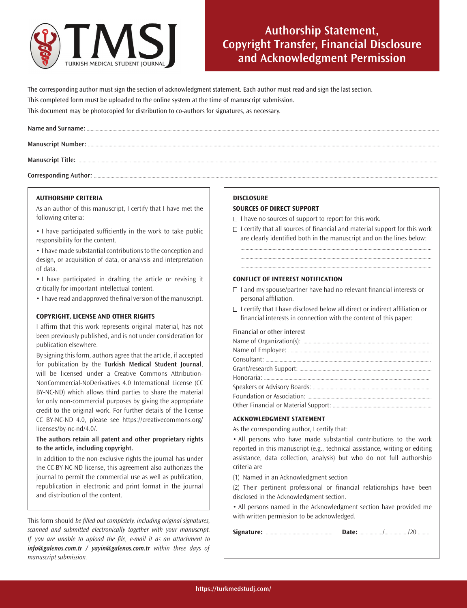

# **Authorship Statement, Copyright Transfer, Financial Disclosure and Acknowledgment Permission**

The corresponding author must sign the section of acknowledgment statement. Each author must read and sign the last section. This completed form must be uploaded to the online system at the time of manuscript submission. This document may be photocopied for distribution to co-authors for signatures, as necessary.

Corresponding Author: .......

### **AUTHORSHIP CRITERIA**

As an author of this manuscript, I certify that I have met the following criteria:

• I have participated sufficiently in the work to take public responsibility for the content.

• I have made substantial contributions to the conception and design, or acquisition of data, or analysis and interpretation of data.

• I have participated in drafting the article or revising it critically for important intellectual content.

• I have read and approved the final version of the manuscript.

# **COPYRIGHT, LICENSE AND OTHER RIGHTS**

I affirm that this work represents original material, has not been previously published, and is not under consideration for publication elsewhere.

By signing this form, authors agree that the article, if accepted for publication by the **Turkish Medical Student Journal**, will be licensed under a Creative Commons Attribution-NonCommercial-NoDerivatives 4.0 International License (CC BY-NC-ND) which allows third parties to share the material for only non-commercial purposes by giving the appropriate credit to the original work. For further details of the license CC BY-NC-ND 4.0, please see https://creativecommons.org/ licenses/by-nc-nd/4.0/.

# **The authors retain all patent and other proprietary rights to the article, including copyright.**

In addition to the non-exclusive rights the journal has under the CC-BY-NC-ND license, this agreement also authorizes the journal to permit the commercial use as well as publication, republication in electronic and print format in the journal and distribution of the content.

This form should be filled out completely, including original signatures, scanned and submitted electronically together with your manuscript. If you are unable to upload the file, e-mail it as an attachment to *info@galenos.com.tr / yayin@galenos.com.tr* within three days of manuscript submission.

### **DISCLOSURE**

#### **SOURCES OF DIRECT SUPPORT**

 $\Box$  I have no sources of support to report for this work.

 $\Box$  I certify that all sources of financial and material support for this work are clearly identified both in the manuscript and on the lines below:

..................................................................................................................................................... ..................................................................................................................................................... .....................................................................................................................................................

### **CONFLICT OF INTEREST NOTIFICATION**

- $\Box$  I and my spouse/partner have had no relevant financial interests or personal affiliation.
- $\Box$  I certify that I have disclosed below all direct or indirect affiliation or financial interests in connection with the content of this paper:

#### Financial or other interest

#### **ACKNOWLEDGMENT STATEMENT**

As the corresponding author, I certify that:

• All persons who have made substantial contributions to the work reported in this manuscript (e.g., technical assistance, writing or editing assistance, data collection, analysis) but who do not full authorship criteria are

(1) Named in an Acknowledgment section

(2) Their pertinent professional or financial relationships have been disclosed in the Acknowledgment section.

• All persons named in the Acknowledgment section have provided me with written permission to be acknowledged.

|--|--|--|